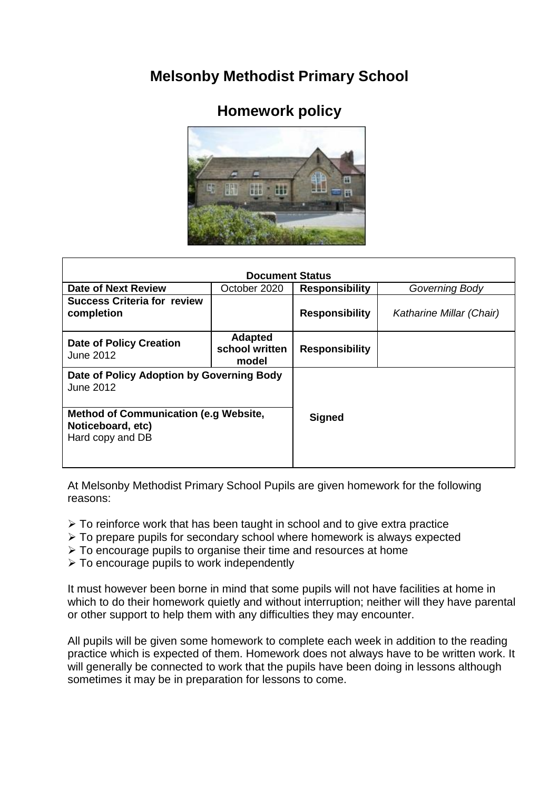## **Melsonby Methodist Primary School**

## **Homework policy**



| <b>Document Status</b>                                                                |                                           |                       |                          |
|---------------------------------------------------------------------------------------|-------------------------------------------|-----------------------|--------------------------|
| Date of Next Review                                                                   | October 2020                              | <b>Responsibility</b> | Governing Body           |
| <b>Success Criteria for review</b><br>completion                                      |                                           | <b>Responsibility</b> | Katharine Millar (Chair) |
| <b>Date of Policy Creation</b><br>June 2012                                           | <b>Adapted</b><br>school written<br>model | <b>Responsibility</b> |                          |
| Date of Policy Adoption by Governing Body<br><b>June 2012</b>                         |                                           |                       |                          |
| <b>Method of Communication (e.g Website,</b><br>Noticeboard, etc)<br>Hard copy and DB |                                           | <b>Signed</b>         |                          |

At Melsonby Methodist Primary School Pupils are given homework for the following reasons:

- $\triangleright$  To reinforce work that has been taught in school and to give extra practice
- $\triangleright$  To prepare pupils for secondary school where homework is always expected
- $\triangleright$  To encourage pupils to organise their time and resources at home
- $\triangleright$  To encourage pupils to work independently

It must however been borne in mind that some pupils will not have facilities at home in which to do their homework quietly and without interruption; neither will they have parental or other support to help them with any difficulties they may encounter.

All pupils will be given some homework to complete each week in addition to the reading practice which is expected of them. Homework does not always have to be written work. It will generally be connected to work that the pupils have been doing in lessons although sometimes it may be in preparation for lessons to come.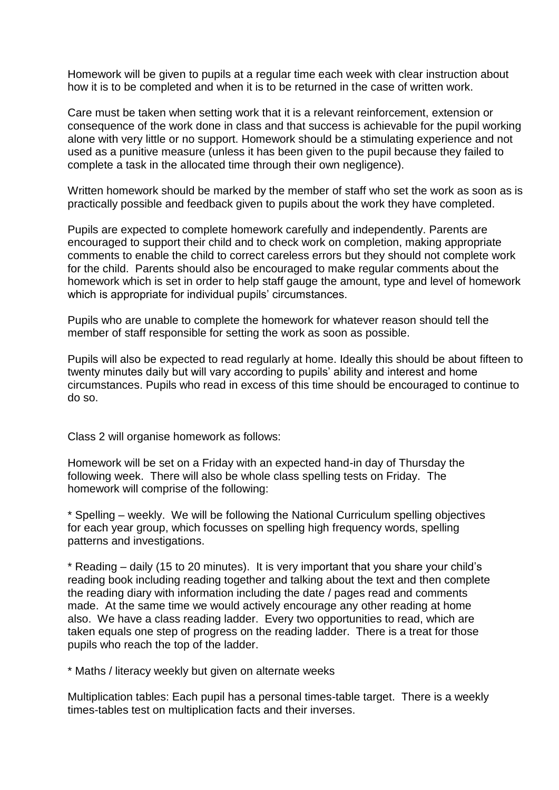Homework will be given to pupils at a regular time each week with clear instruction about how it is to be completed and when it is to be returned in the case of written work.

Care must be taken when setting work that it is a relevant reinforcement, extension or consequence of the work done in class and that success is achievable for the pupil working alone with very little or no support. Homework should be a stimulating experience and not used as a punitive measure (unless it has been given to the pupil because they failed to complete a task in the allocated time through their own negligence).

Written homework should be marked by the member of staff who set the work as soon as is practically possible and feedback given to pupils about the work they have completed.

Pupils are expected to complete homework carefully and independently. Parents are encouraged to support their child and to check work on completion, making appropriate comments to enable the child to correct careless errors but they should not complete work for the child. Parents should also be encouraged to make regular comments about the homework which is set in order to help staff gauge the amount, type and level of homework which is appropriate for individual pupils' circumstances.

Pupils who are unable to complete the homework for whatever reason should tell the member of staff responsible for setting the work as soon as possible.

Pupils will also be expected to read regularly at home. Ideally this should be about fifteen to twenty minutes daily but will vary according to pupils' ability and interest and home circumstances. Pupils who read in excess of this time should be encouraged to continue to do so.

Class 2 will organise homework as follows:

Homework will be set on a Friday with an expected hand-in day of Thursday the following week. There will also be whole class spelling tests on Friday. The homework will comprise of the following:

\* Spelling – weekly. We will be following the National Curriculum spelling objectives for each year group, which focusses on spelling high frequency words, spelling patterns and investigations.

\* Reading – daily (15 to 20 minutes). It is very important that you share your child's reading book including reading together and talking about the text and then complete the reading diary with information including the date / pages read and comments made. At the same time we would actively encourage any other reading at home also. We have a class reading ladder. Every two opportunities to read, which are taken equals one step of progress on the reading ladder. There is a treat for those pupils who reach the top of the ladder.

\* Maths / literacy weekly but given on alternate weeks

Multiplication tables: Each pupil has a personal times-table target. There is a weekly times-tables test on multiplication facts and their inverses.